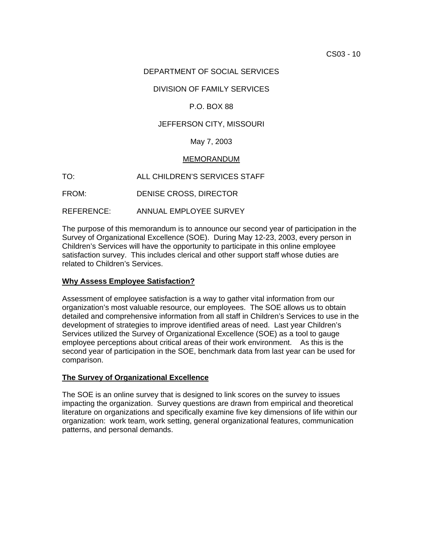## DEPARTMENT OF SOCIAL SERVICES

## DIVISION OF FAMILY SERVICES

## P.O. BOX 88

### JEFFERSON CITY, MISSOURI

### May 7, 2003

#### MEMORANDUM

TO: ALL CHILDREN'S SERVICES STAFF

FROM: DENISE CROSS, DIRECTOR

REFERENCE: ANNUAL EMPLOYEE SURVEY

The purpose of this memorandum is to announce our second year of participation in the Survey of Organizational Excellence (SOE). During May 12-23, 2003, every person in Children's Services will have the opportunity to participate in this online employee satisfaction survey. This includes clerical and other support staff whose duties are related to Children's Services.

#### **Why Assess Employee Satisfaction?**

Assessment of employee satisfaction is a way to gather vital information from our organization's most valuable resource, our employees. The SOE allows us to obtain detailed and comprehensive information from all staff in Children's Services to use in the development of strategies to improve identified areas of need. Last year Children's Services utilized the Survey of Organizational Excellence (SOE) as a tool to gauge employee perceptions about critical areas of their work environment. As this is the second year of participation in the SOE, benchmark data from last year can be used for comparison.

#### **The Survey of Organizational Excellence**

The SOE is an online survey that is designed to link scores on the survey to issues impacting the organization. Survey questions are drawn from empirical and theoretical literature on organizations and specifically examine five key dimensions of life within our organization: work team, work setting, general organizational features, communication patterns, and personal demands.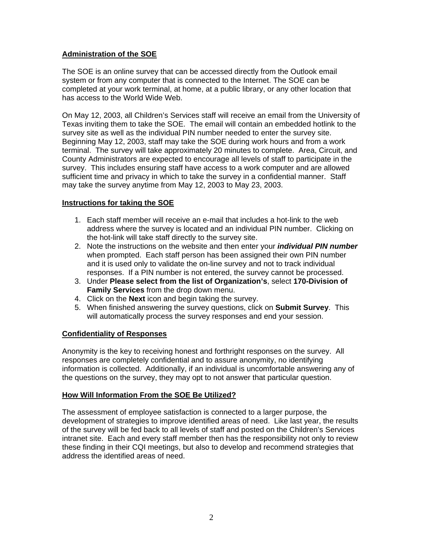# **Administration of the SOE**

The SOE is an online survey that can be accessed directly from the Outlook email system or from any computer that is connected to the Internet. The SOE can be completed at your work terminal, at home, at a public library, or any other location that has access to the World Wide Web.

On May 12, 2003, all Children's Services staff will receive an email from the University of Texas inviting them to take the SOE. The email will contain an embedded hotlink to the survey site as well as the individual PIN number needed to enter the survey site. Beginning May 12, 2003, staff may take the SOE during work hours and from a work terminal. The survey will take approximately 20 minutes to complete. Area, Circuit, and County Administrators are expected to encourage all levels of staff to participate in the survey. This includes ensuring staff have access to a work computer and are allowed sufficient time and privacy in which to take the survey in a confidential manner. Staff may take the survey anytime from May 12, 2003 to May 23, 2003.

# **Instructions for taking the SOE**

- 1. Each staff member will receive an e-mail that includes a hot-link to the web address where the survey is located and an individual PIN number. Clicking on the hot-link will take staff directly to the survey site.
- 2. Note the instructions on the website and then enter your *individual PIN number* when prompted. Each staff person has been assigned their own PIN number and it is used only to validate the on-line survey and not to track individual responses. If a PIN number is not entered, the survey cannot be processed.
- 3. Under **Please select from the list of Organization's**, select **170-Division of Family Services** from the drop down menu.
- 4. Click on the **Next** icon and begin taking the survey.
- 5. When finished answering the survey questions, click on **Submit Survey**. This will automatically process the survey responses and end your session.

## **Confidentiality of Responses**

Anonymity is the key to receiving honest and forthright responses on the survey. All responses are completely confidential and to assure anonymity, no identifying information is collected. Additionally, if an individual is uncomfortable answering any of the questions on the survey, they may opt to not answer that particular question.

## **How Will Information From the SOE Be Utilized?**

The assessment of employee satisfaction is connected to a larger purpose, the development of strategies to improve identified areas of need. Like last year, the results of the survey will be fed back to all levels of staff and posted on the Children's Services intranet site. Each and every staff member then has the responsibility not only to review these finding in their CQI meetings, but also to develop and recommend strategies that address the identified areas of need.